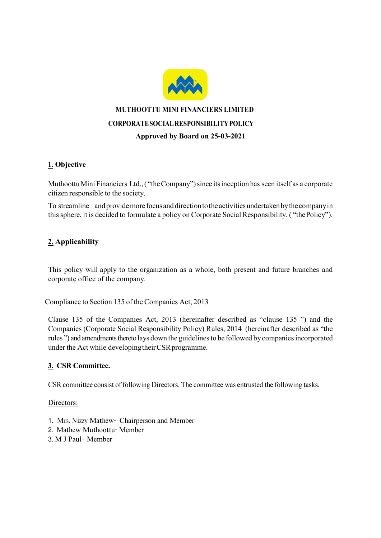

# MUTHOOTTU MINI FINANCIERS LIMITED CORPORATE SOCIAL RESPONSIBILITY POLICY Approved by Board on 25-03-2021

# 1. Objective

Muthoottu Mini Financiers Ltd., ( "the Company") since its inception has seen itself as a corporate citizen responsible to the society.

To streamline and provide more focus and direction to the activities undertaken by the company in this sphere, it is decided to formulate a policy on Corporate Social Responsibility. ( "the Policy").

## 2. Applicability

This policy will apply to the organization as a whole, both present and future branches and corporate office of the company.

Compliance to Section 135 of the Companies Act, 2013

Clause 135 of the Companies Act, 2013 (hereinafter described as "clause 135 ") and the Companies (Corporate Social Responsibility Policy) Rules, 2014 (hereinafter described as "the rules ") and amendments thereto lays down the guidelines to be followed by companies incorporated under the Act while developing their CSR programme.

## 3. CSR Committee.

CSR committee consist of following Directors. The committee was entrusted the following tasks.

#### Directors:

- 1. Mrs. Nizzy Mathew− Chairperson and Member
- 2. Mathew Muthoottu− Member
- 3. M J Paul− Member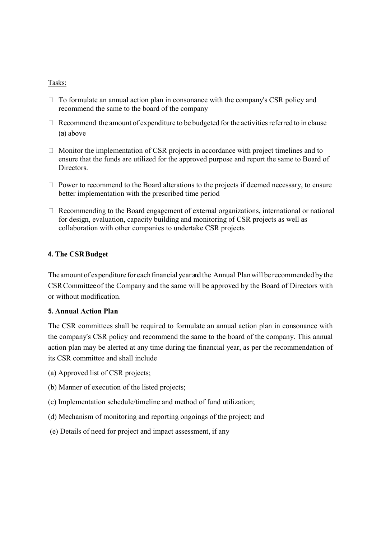#### Tasks:

- $\Box$  To formulate an annual action plan in consonance with the company's CSR policy and recommend the same to the board of the company
- $\Box$  Recommend the amount of expenditure to be budgeted for the activities referred to in clause (a) above
- $\Box$  Monitor the implementation of CSR projects in accordance with project timelines and to ensure that the funds are utilized for the approved purpose and report the same to Board of Directors.
- $\Box$  Power to recommend to the Board alterations to the projects if deemed necessary, to ensure better implementation with the prescribed time period
- $\Box$  Recommending to the Board engagement of external organizations, international or national for design, evaluation, capacity building and monitoring of CSR projects as well as collaboration with other companies to undertake CSR projects

## 4. The CSR Budget

The amount of expenditure for each financial year and the Annual Plan will be recommended by the CSR Committee of the Company and the same will be approved by the Board of Directors with or without modification.

#### 5. Annual Action Plan

The CSR committees shall be required to formulate an annual action plan in consonance with the company's CSR policy and recommend the same to the board of the company. This annual action plan may be alerted at any time during the financial year, as per the recommendation of its CSR committee and shall include

- (a) Approved list of CSR projects;
- (b) Manner of execution of the listed projects;
- (c) Implementation schedule/timeline and method of fund utilization;
- (d) Mechanism of monitoring and reporting ongoings of the project; and
- (e) Details of need for project and impact assessment, if any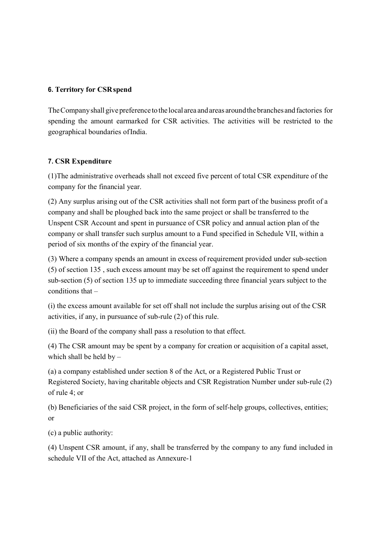## 6. Territory for CSR spend

The Company shall give preference to the local area and areas around the branches and factories for spending the amount earmarked for CSR activities. The activities will be restricted to the geographical boundaries of India.

## 7. CSR Expenditure

(1)The administrative overheads shall not exceed five percent of total CSR expenditure of the company for the financial year.

(2) Any surplus arising out of the CSR activities shall not form part of the business profit of a company and shall be ploughed back into the same project or shall be transferred to the Unspent CSR Account and spent in pursuance of CSR policy and annual action plan of the company or shall transfer such surplus amount to a Fund specified in Schedule VII, within a period of six months of the expiry of the financial year.

(3) Where a company spends an amount in excess of requirement provided under sub-section (5) of section 135 , such excess amount may be set off against the requirement to spend under sub-section (5) of section 135 up to immediate succeeding three financial years subject to the conditions that –

(i) the excess amount available for set off shall not include the surplus arising out of the CSR activities, if any, in pursuance of sub-rule (2) of this rule.

(ii) the Board of the company shall pass a resolution to that effect.

(4) The CSR amount may be spent by a company for creation or acquisition of a capital asset, which shall be held by  $-$ 

(a) a company established under section 8 of the Act, or a Registered Public Trust or Registered Society, having charitable objects and CSR Registration Number under sub-rule (2) of rule 4; or

(b) Beneficiaries of the said CSR project, in the form of self-help groups, collectives, entities; or

(c) a public authority:

(4) Unspent CSR amount, if any, shall be transferred by the company to any fund included in schedule VII of the Act, attached as Annexure-1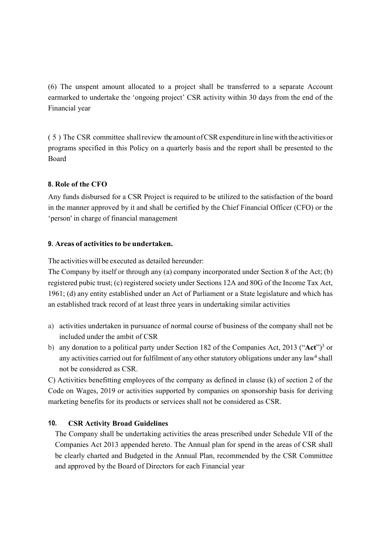(6) The unspent amount allocated to a project shall be transferred to a separate Account earmarked to undertake the 'ongoing project' CSR activity within 30 days from the end of the Financial year

( 5 ) The CSR committee shall review the amount of CSR expenditure in line with the activities or programs specified in this Policy on a quarterly basis and the report shall be presented to the Board

## 8. Role of the CFO

Any funds disbursed for a CSR Project is required to be utilized to the satisfaction of the board in the manner approved by it and shall be certified by the Chief Financial Officer (CFO) or the 'person' in charge of financial management

## 9. Areas of activities to be undertaken.

The activities will be executed as detailed hereunder:

The Company by itself or through any (a) company incorporated under Section 8 of the Act; (b) registered pubic trust; (c) registered society under Sections 12A and 80G of the Income Tax Act, 1961; (d) any entity established under an Act of Parliament or a State legislature and which has an established track record of at least three years in undertaking similar activities

- a) activities undertaken in pursuance of normal course of business of the company shall not be included under the ambit of CSR
- b) any donation to a political party under Section 182 of the Companies Act, 2013 ("Act")<sup>3</sup> or any activities carried out for fulfilment of any other statutory obligations under any law<sup>4</sup> shall not be considered as CSR.

C) Activities benefitting employees of the company as defined in clause (k) of section 2 of the Code on Wages, 2019 or activities supported by companies on sponsorship basis for deriving marketing benefits for its products or services shall not be considered as CSR.

## 10. CSR Activity Broad Guidelines

The Company shall be undertaking activities the areas prescribed under Schedule VII of the Companies Act 2013 appended hereto. The Annual plan for spend in the areas of CSR shall be clearly charted and Budgeted in the Annual Plan, recommended by the CSR Committee and approved by the Board of Directors for each Financial year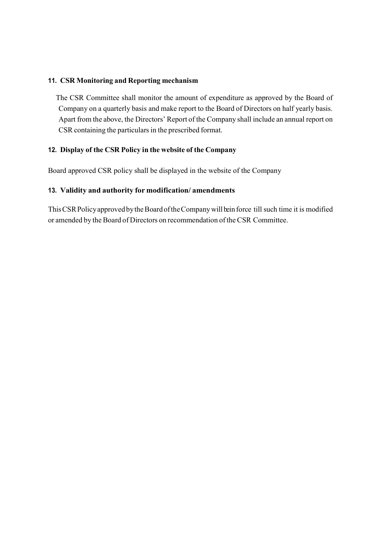## 11. CSR Monitoring and Reporting mechanism

The CSR Committee shall monitor the amount of expenditure as approved by the Board of Company on a quarterly basis and make report to the Board of Directors on half yearly basis. Apart from the above, the Directors' Report of the Company shall include an annual report on CSR containing the particulars in the prescribed format.

## 12. Display of the CSR Policy in the website of the Company

Board approved CSR policy shall be displayed in the website of the Company

## 13. Validity and authority for modification/ amendments

This CSR Policy approved by the Board of the Company will be in force till such time it is modified or amended by the Board of Directors on recommendation of the CSR Committee.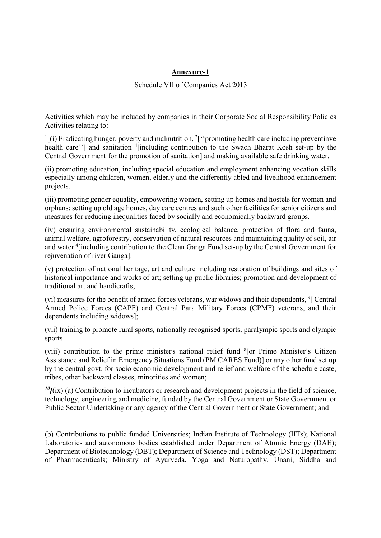## Annexure-1

#### Schedule VII of Companies Act 2013

Activities which may be included by companies in their Corporate Social Responsibility Policies Activities relating to:—

 $<sup>1</sup>$ [(i) Eradicating hunger, poverty and malnutrition,  $<sup>2</sup>$ ["promoting health care including preventinve</sup></sup> health care"] and sanitation <sup>4</sup>[including contribution to the Swach Bharat Kosh set-up by the Central Government for the promotion of sanitation] and making available safe drinking water.

(ii) promoting education, including special education and employment enhancing vocation skills especially among children, women, elderly and the differently abled and livelihood enhancement projects.

(iii) promoting gender equality, empowering women, setting up homes and hostels for women and orphans; setting up old age homes, day care centres and such other facilities for senior citizens and measures for reducing inequalities faced by socially and economically backward groups.

(iv) ensuring environmental sustainability, ecological balance, protection of flora and fauna, animal welfare, agroforestry, conservation of natural resources and maintaining quality of soil, air and water <sup>4</sup> [including contribution to the Clean Ganga Fund set-up by the Central Government for rejuvenation of river Ganga].

(v) protection of national heritage, art and culture including restoration of buildings and sites of historical importance and works of art; setting up public libraries; promotion and development of traditional art and handicrafts;

(vi) measures for the benefit of armed forces veterans, war widows and their dependents, <sup>9</sup>[ Central Armed Police Forces (CAPF) and Central Para Military Forces (CPMF) veterans, and their dependents including widows];

(vii) training to promote rural sports, nationally recognised sports, paralympic sports and olympic sports

(viii) contribution to the prime minister's national relief fund <sup>8</sup> [or Prime Minister's Citizen Assistance and Relief in Emergency Situations Fund (PM CARES Fund)] or any other fund set up by the central govt. for socio economic development and relief and welfare of the schedule caste, tribes, other backward classes, minorities and women;

 $^{10}$ f(ix) (a) Contribution to incubators or research and development projects in the field of science, technology, engineering and medicine, funded by the Central Government or State Government or Public Sector Undertaking or any agency of the Central Government or State Government; and

(b) Contributions to public funded Universities; Indian Institute of Technology (IITs); National Laboratories and autonomous bodies established under Department of Atomic Energy (DAE); Department of Biotechnology (DBT); Department of Science and Technology (DST); Department of Pharmaceuticals; Ministry of Ayurveda, Yoga and Naturopathy, Unani, Siddha and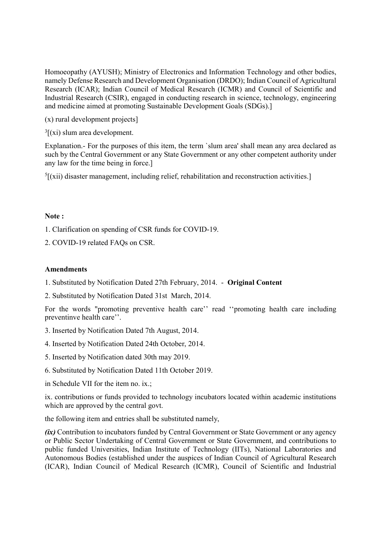Homoeopathy (AYUSH); Ministry of Electronics and Information Technology and other bodies, namely Defense Research and Development Organisation (DRDO); Indian Council of Agricultural Research (ICAR); Indian Council of Medical Research (ICMR) and Council of Scientific and Industrial Research (CSIR), engaged in conducting research in science, technology, engineering and medicine aimed at promoting Sustainable Development Goals (SDGs).]

(x) rural development projects]

 $3$ [(xi) slum area development.

Explanation.- For the purposes of this item, the term `slum area' shall mean any area declared as such by the Central Government or any State Government or any other competent authority under any law for the time being in force.]

 ${}^{5}$ [(xii) disaster management, including relief, rehabilitation and reconstruction activities.]

#### Note :

1. Clarification on spending of CSR funds for COVID-19.

2. COVID-19 related FAQs on CSR.

#### Amendments

1. Substituted by Notification Dated 27th February, 2014. - Original Content

2. Substituted by Notification Dated 31st March, 2014.

For the words "promoting preventive health care'' read ''promoting health care including preventinve health care''.

- 3. Inserted by Notification Dated 7th August, 2014.
- 4. Inserted by Notification Dated 24th October, 2014.
- 5. Inserted by Notification dated 30th may 2019.
- 6. Substituted by Notification Dated 11th October 2019.

in Schedule VII for the item no. ix.;

ix. contributions or funds provided to technology incubators located within academic institutions which are approved by the central govt.

the following item and entries shall be substituted namely,

(ix) Contribution to incubators funded by Central Government or State Government or any agency or Public Sector Undertaking of Central Government or State Government, and contributions to public funded Universities, Indian Institute of Technology (IITs), National Laboratories and Autonomous Bodies (established under the auspices of Indian Council of Agricultural Research (ICAR), Indian Council of Medical Research (ICMR), Council of Scientific and Industrial